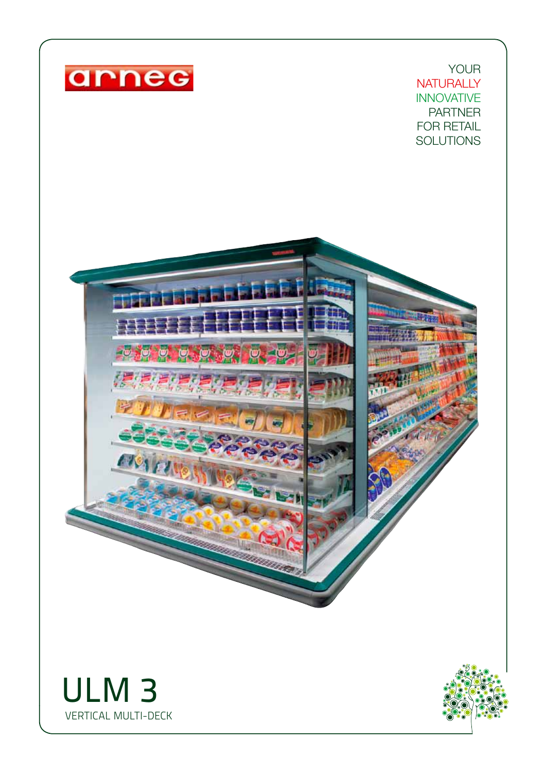